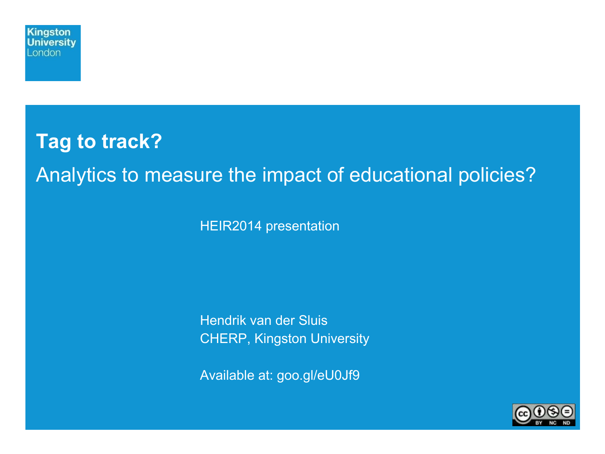

# **Tag to track?**  Analytics to measure the impact of educational policies?

HEIR2014 presentation

Hendrik van der Sluis CHERP, Kingston University

Available at: goo.gl/eU0Jf9

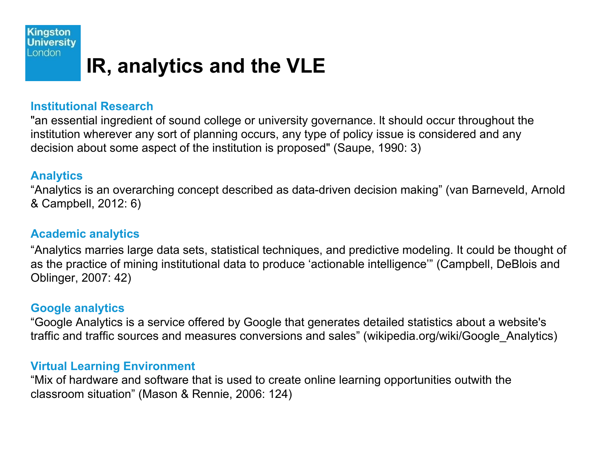

## **IR, analytics and the VLE**

#### **Institutional Research**

"an essential ingredient of sound college or university governance. lt should occur throughout the institution wherever any sort of planning occurs, any type of policy issue is considered and any decision about some aspect of the institution is proposed" (Saupe, 1990: 3)

#### **Analytics**

"Analytics is an overarching concept described as data-driven decision making" (van Barneveld, Arnold & Campbell, 2012: 6)

#### **Academic analytics**

"Analytics marries large data sets, statistical techniques, and predictive modeling. It could be thought of as the practice of mining institutional data to produce 'actionable intelligence'" (Campbell, DeBlois and Oblinger, 2007: 42)

### **Google analytics**

"Google Analytics is a service offered by Google that generates detailed statistics about a website's traffic and traffic sources and measures conversions and sales" (wikipedia.org/wiki/Google\_Analytics)

#### **Virtual Learning Environment**

"Mix of hardware and software that is used to create online learning opportunities outwith the classroom situation" (Mason & Rennie, 2006: 124)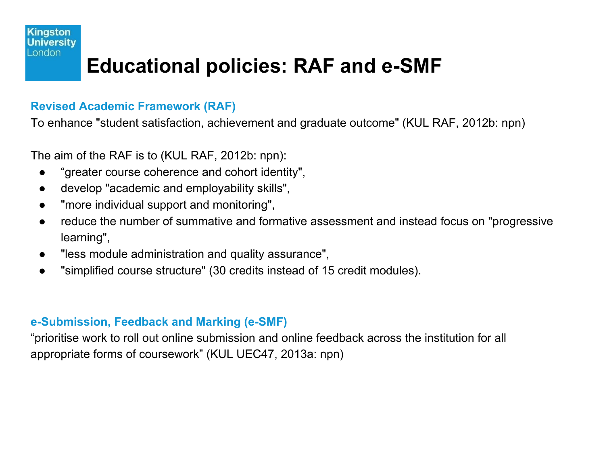#### **Kingston** Universitv London

## **Educational policies: RAF and e-SMF**

### **Revised Academic Framework (RAF)**

To enhance "student satisfaction, achievement and graduate outcome" (KUL RAF, 2012b: npn)

The aim of the RAF is to (KUL RAF, 2012b: npn):

- "greater course coherence and cohort identity",
- develop "academic and employability skills",
- "more individual support and monitoring",
- reduce the number of summative and formative assessment and instead focus on "progressive learning",
- "less module administration and quality assurance",
- "simplified course structure" (30 credits instead of 15 credit modules).

### **e-Submission, Feedback and Marking (e-SMF)**

"prioritise work to roll out online submission and online feedback across the institution for all appropriate forms of coursework" (KUL UEC47, 2013a: npn)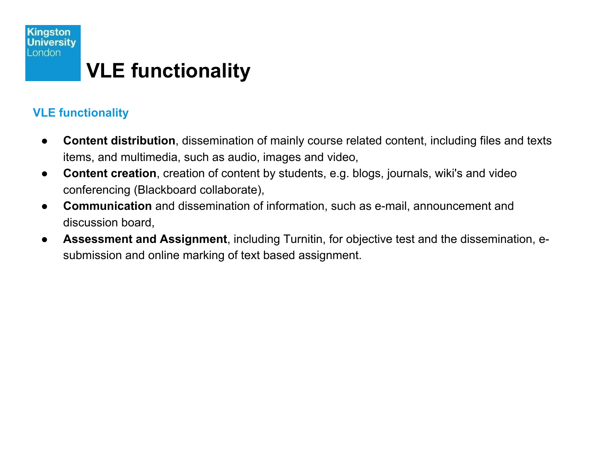

### **VLE functionality**

- **Content distribution**, dissemination of mainly course related content, including files and texts items, and multimedia, such as audio, images and video,
- **Content creation**, creation of content by students, e.g. blogs, journals, wiki's and video conferencing (Blackboard collaborate),
- **Communication** and dissemination of information, such as e-mail, announcement and discussion board,
- **Assessment and Assignment**, including Turnitin, for objective test and the dissemination, esubmission and online marking of text based assignment.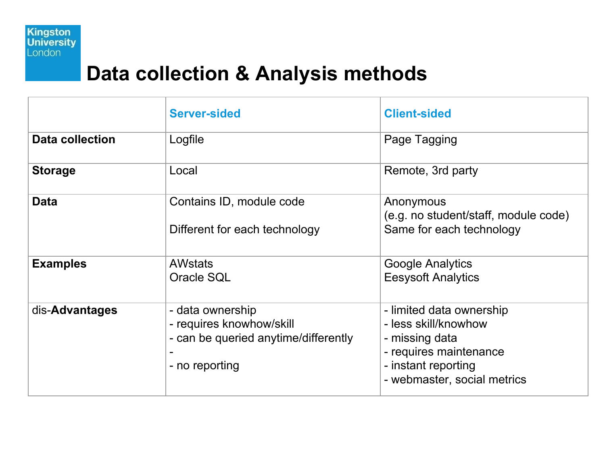

## **Data collection & Analysis methods**

|                        | <b>Server-sided</b>                                                                                    | <b>Client-sided</b>                                                                                                                                |
|------------------------|--------------------------------------------------------------------------------------------------------|----------------------------------------------------------------------------------------------------------------------------------------------------|
| <b>Data collection</b> | Logfile                                                                                                | Page Tagging                                                                                                                                       |
| <b>Storage</b>         | Local                                                                                                  | Remote, 3rd party                                                                                                                                  |
| <b>Data</b>            | Contains ID, module code<br>Different for each technology                                              | Anonymous<br>(e.g. no student/staff, module code)<br>Same for each technology                                                                      |
| <b>Examples</b>        | <b>AWstats</b><br>Oracle SQL                                                                           | <b>Google Analytics</b><br><b>Eesysoft Analytics</b>                                                                                               |
| dis-Advantages         | - data ownership<br>- requires knowhow/skill<br>- can be queried anytime/differently<br>- no reporting | - limited data ownership<br>- less skill/knowhow<br>- missing data<br>- requires maintenance<br>- instant reporting<br>- webmaster, social metrics |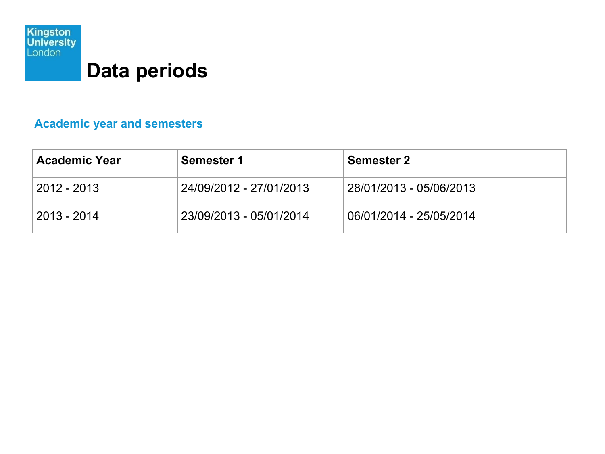

## **Data periods**

### **Academic year and semesters**

| <b>Academic Year</b>              | <b>Semester 1</b>       | <b>Semester 2</b>       |
|-----------------------------------|-------------------------|-------------------------|
| $^{\circ}$ 2012 - 2013 $^{\circ}$ | 24/09/2012 - 27/01/2013 | 28/01/2013 - 05/06/2013 |
| 2013 - 2014                       | 23/09/2013 - 05/01/2014 | 06/01/2014 - 25/05/2014 |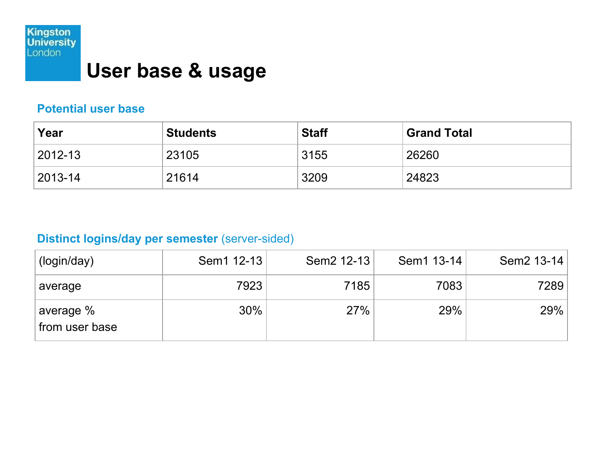

## **User base & usage**

#### **Potential user base**

| Year          | <b>Students</b> | <b>Staff</b> | <b>Grand Total</b> |
|---------------|-----------------|--------------|--------------------|
| $ 2012-13 $   | 23105           | 3155         | 26260              |
| $ 2013 - 14 $ | 21614           | 3209         | 24823              |

### **Distinct logins/day per semester** (server-sided)

| (login/day)                              | Sem1 12-13 | Sem2 12-13 | Sem1 13-14 | Sem2 13-14 |
|------------------------------------------|------------|------------|------------|------------|
| average                                  | 7923       | 7185       | 7083       | 7289       |
| <sup>∣</sup> average %<br>from user base | 30%        | 27%        | 29%        | 29%        |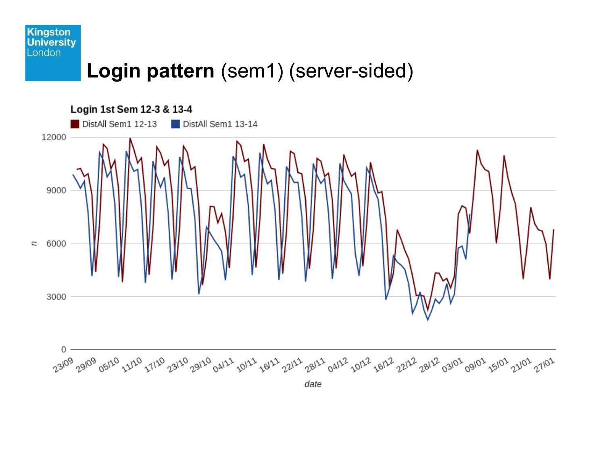

## **Login pattern** (sem1) (server-sided)

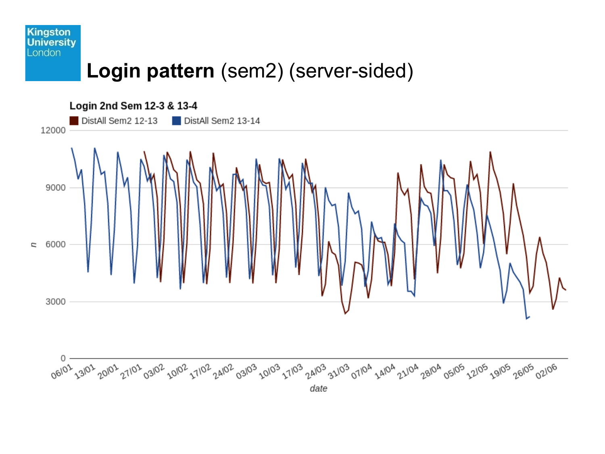#### **Kingston University** London

## **Login pattern** (sem2) (server-sided)

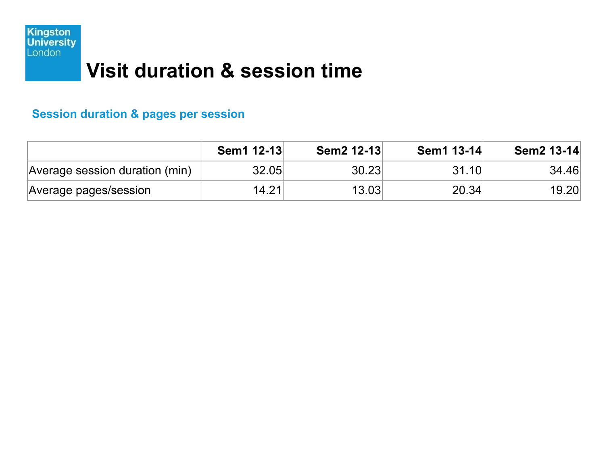

## **Visit duration & session time**

### **Session duration & pages per session**

|                                | Sem1 12-13 | Sem2 12-13 | Sem1 13-14 | Sem2 13-14 |
|--------------------------------|------------|------------|------------|------------|
| Average session duration (min) | 32.05      | 30.23      | 31.10      | 34.46      |
| Average pages/session          | 14.21      | 13.03      | 20.34      | 19.20      |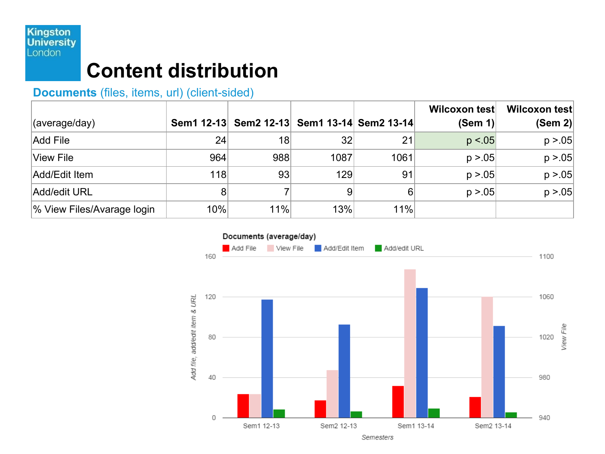### **Kingston**<br>University London

## **Content distribution**

### **Documents** (files, items, url) (client-sided)

|                            |     |                                             |                 |      | Wilcoxon test | Wilcoxon test |
|----------------------------|-----|---------------------------------------------|-----------------|------|---------------|---------------|
| $\vert$ (average/day)      |     | Sem1 12-13 Sem2 12-13 Sem1 13-14 Sem2 13-14 |                 |      | (Sem 1)       | (Sem 2)       |
| Add File                   | 24  | 18                                          | 32              | 21   | p < 0.05      | p > 0.05      |
| View File                  | 964 | 988                                         | 1087            | 1061 | p > 0.05      | p > 0.05      |
| Add/Edit Item              | 118 | 93                                          | 129             | 91   | p > 0.05      | p > 0.05      |
| Add/edit URL               | 8   |                                             | $\vert 9 \vert$ | 6    | p > 0.05      | p > 0.05      |
| % View Files/Avarage login | 10% | 11%                                         | 13%             | 11%  |               |               |

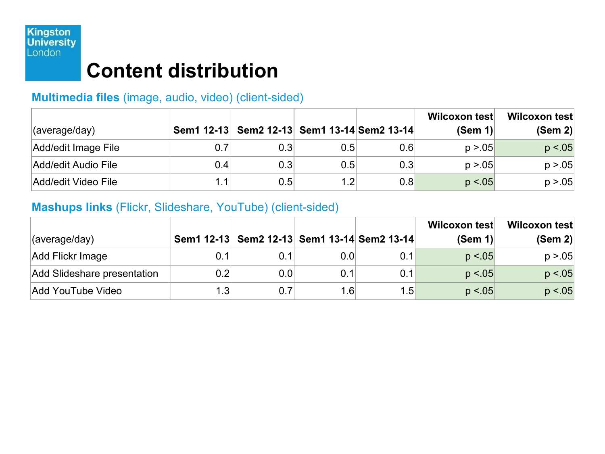

## **Content distribution**

### **Multimedia files** (image, audio, video) (client-sided)

|                     |     |                                             |                  |     | Wilcoxon test | Wilcoxon test |
|---------------------|-----|---------------------------------------------|------------------|-----|---------------|---------------|
| (average/day)       |     | Sem1 12-13 Sem2 12-13 Sem1 13-14 Sem2 13-14 |                  |     | (Sem 1)       | (Sem 2)       |
| Add/edit Image File | 0.7 | 0.3                                         | $0.5\vert$       | 0.6 | p > 05        | p < 0.05      |
| Add/edit Audio File | 0.4 | 0.3                                         | $0.5\vert$       | 0.3 | p > 05        | p > 0.05      |
| Add/edit Video File | 1.1 | 0.5                                         | 1.2 <sub>l</sub> | 0.8 | p < 05        | p > 0.05      |

#### **Mashups links** (Flickr, Slideshare, YouTube) (client-sided)

|                             |     |                                             |            |     | Wilcoxon test | Wilcoxon test |
|-----------------------------|-----|---------------------------------------------|------------|-----|---------------|---------------|
| $\vert$ (average/day)       |     | Sem1 12-13 Sem2 12-13 Sem1 13-14 Sem2 13-14 |            |     | (Sem 1)       | (Sem 2)       |
| Add Flickr Image            | 0.1 |                                             | $0.0\vert$ | 0.1 | p < 0.05      | p > 0.05      |
| Add Slideshare presentation | 0.2 | 0.0                                         |            | 0.1 | p < 0.05      | p < 0.05      |
| Add YouTube Video           | 1.3 |                                             | 1.6        | 1.5 | p < 0.05      | p < 0.05      |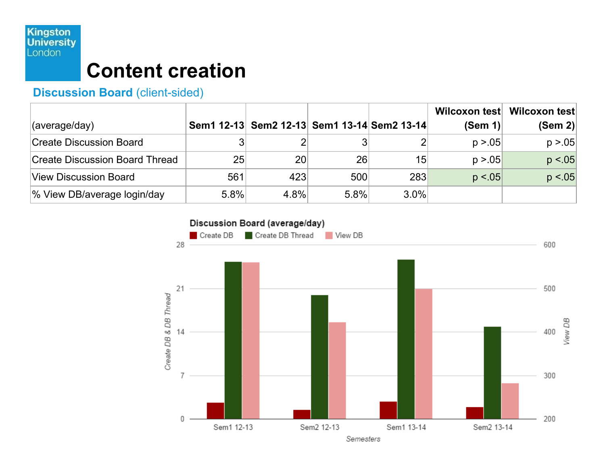### **Kingston**<br>University London

## **Content creation**

### **Discussion Board** (client-sided)

|                                       |      |                                             |      |         | Wilcoxon test | Wilcoxon test |
|---------------------------------------|------|---------------------------------------------|------|---------|---------------|---------------|
| (average/day)                         |      | Sem1 12-13 Sem2 12-13 Sem1 13-14 Sem2 13-14 |      |         | (Sem 1)       | (Sem 2)       |
| <b>Create Discussion Board</b>        |      |                                             |      |         | p > 05        | p > 0.05      |
| <b>Create Discussion Board Thread</b> | 25   | 20 <sup>1</sup>                             | 26   | 15      | p > 05        | p < 0.05      |
| View Discussion Board                 | 561  | 423                                         | 500  | 283     | p < 0.05      | p < 05        |
| % View DB/average login/day           | 5.8% | 4.8%                                        | 5.8% | $3.0\%$ |               |               |

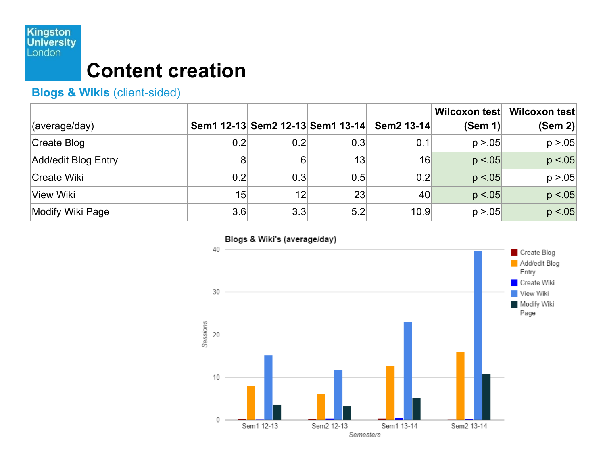### **Kingston**<br>University London

## **Content creation**

### **Blogs & Wikis** (client-sided)

|                     |     |          |                                  |                 | Wilcoxon test | Wilcoxon test |
|---------------------|-----|----------|----------------------------------|-----------------|---------------|---------------|
| (average/day)       |     |          | Sem1 12-13 Sem2 12-13 Sem1 13-14 | Sem2 13-14      | (Sem 1)       | (Sem 2)       |
| Create Blog         | 0.2 | 0.2      | 0.3                              | 0.1             | p > 0.05      | p > 0.05      |
| Add/edit Blog Entry | 8   | $6 \mid$ | 13                               | 16              | p < 0.05      | p < 05        |
| Create Wiki         | 0.2 | 0.3      | 0.5                              | 0.2             | p < 05        | p > 0.05      |
| <b>View Wiki</b>    | 15  | 12       | 23                               | 40 <sup>°</sup> | p < 05        | p < 0.05      |
| Modify Wiki Page    | 3.6 | 3.3      | 5.2                              | 10.9            | p > 0.05      | p < 0.05      |

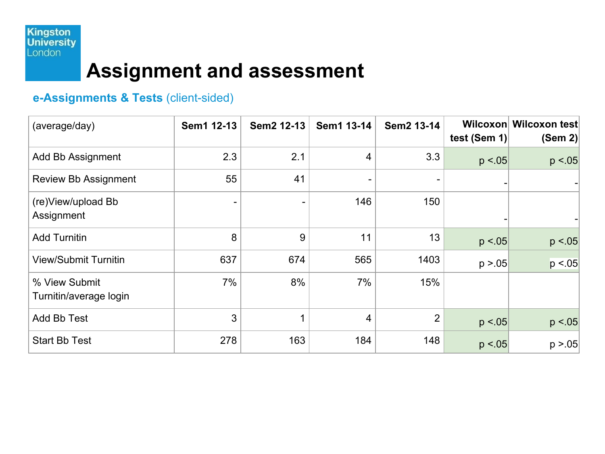

## **Assignment and assessment**

### **e-Assignments & Tests** (client-sided)

| (average/day)                           | Sem1 12-13 | Sem2 12-13 | Sem1 13-14     | Sem2 13-14     | test (Sem 1) | Wilcoxon Wilcoxon test<br>(Sem 2) |
|-----------------------------------------|------------|------------|----------------|----------------|--------------|-----------------------------------|
| Add Bb Assignment                       | 2.3        | 2.1        | $\overline{4}$ | 3.3            | p < 0.05     | p < 05                            |
| <b>Review Bb Assignment</b>             | 55         | 41         | -              |                |              |                                   |
| (re)View/upload Bb<br>Assignment        |            |            | 146            | 150            |              |                                   |
| <b>Add Turnitin</b>                     | 8          | 9          | 11             | 13             | p < 0.05     | p < 05                            |
| <b>View/Submit Turnitin</b>             | 637        | 674        | 565            | 1403           | p > 0.05     | p < 0.05                          |
| % View Submit<br>Turnitin/average login | 7%         | 8%         | 7%             | 15%            |              |                                   |
| Add Bb Test                             | 3          | 1          | 4              | $\overline{2}$ | p < 0.05     | p < 0.05                          |
| <b>Start Bb Test</b>                    | 278        | 163        | 184            | 148            | p < 05       | p > 0.05                          |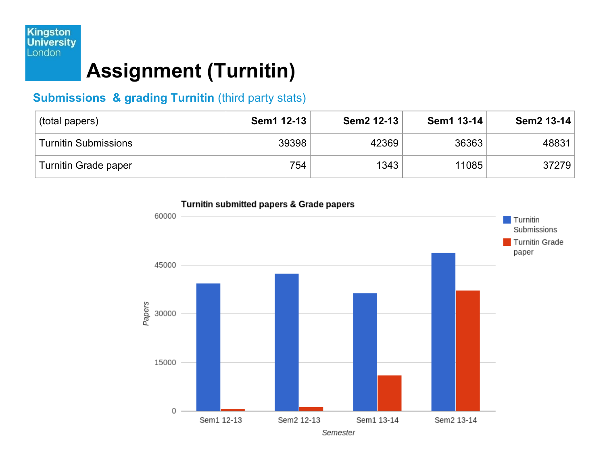## **Assignment (Turnitin)**

### **Submissions & grading Turnitin (third party stats)**

| (total papers)              | Sem1 12-13 | Sem2 12-13 | Sem1 13-14 | Sem2 13-14 |
|-----------------------------|------------|------------|------------|------------|
| <b>Turnitin Submissions</b> | 39398      | 42369      | 36363      | 48831      |
| Turnitin Grade paper        | 754        | 1343       | 11085      | 37279      |

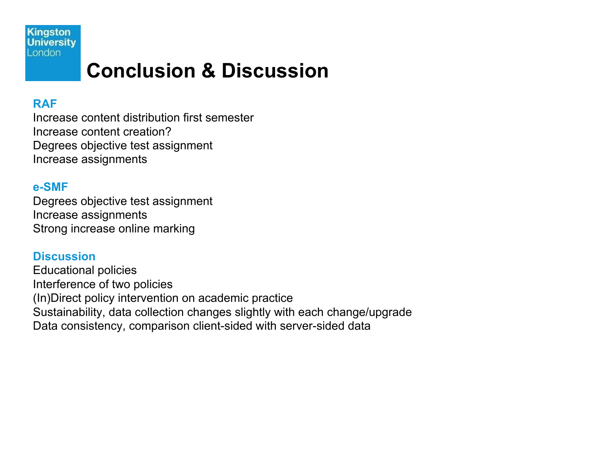**Kingston University** London

## **Conclusion & Discussion**

#### **RAF**

Increase content distribution first semester Increase content creation? Degrees objective test assignment Increase assignments

#### **e-SMF**

Degrees objective test assignment Increase assignments Strong increase online marking

#### **Discussion**

Educational policies Interference of two policies (In)Direct policy intervention on academic practice Sustainability, data collection changes slightly with each change/upgrade Data consistency, comparison client-sided with server-sided data